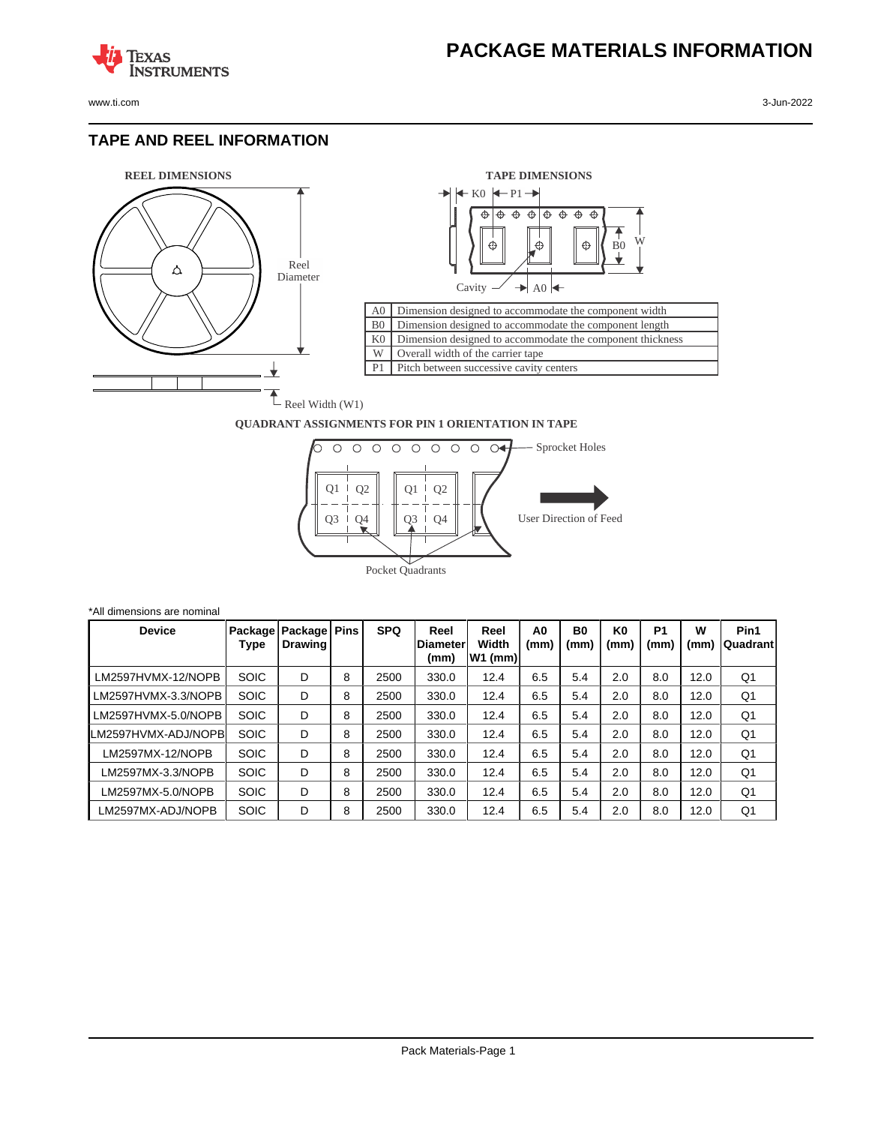www.ti.com 3-Jun-2022

**TEXAS** 

#### **TAPE AND REEL INFORMATION**

**STRUMENTS** 





#### **QUADRANT ASSIGNMENTS FOR PIN 1 ORIENTATION IN TAPE**



\*All dimensions are nominal **Device Package Type Package Drawing Pins SPQ Reel Diameter (mm) Reel Width W1 (mm) A0 (mm) B0 (mm) K0 (mm) P1 (mm) W (mm) Pin1 Quadrant** LM2597HVMX-12/NOPB SOIC D 8 2500 330.0 12.4 6.5 5.4 2.0 8.0 12.0 Q1 LM2597HVMX-3.3/NOPB SOIC D 8 2500 330.0 12.4 6.5 5.4 2.0 8.0 12.0 Q1 LM2597HVMX-5.0/NOPB SOIC D 8 2500 330.0 12.4 6.5 5.4 2.0 8.0 12.0 Q1 LM2597HVMX-ADJ/NOPB SOIC D 8 2500 330.0 12.4 6.5 5.4 2.0 8.0 12.0 Q1 LM2597MX-12/NOPB SOIC D 8 2500 330.0 12.4 6.5 5.4 2.0 8.0 12.0 Q1 LM2597MX-3.3/NOPB SOIC D 8 2500 330.0 12.4 6.5 5.4 2.0 8.0 12.0 Q1 LM2597MX-5.0/NOPB SOIC D 8 2500 330.0 12.4 6.5 5.4 2.0 8.0 12.0 01 LM2597MX-ADJ/NOPB SOIC D 8 2500 330.0 12.4 6.5 5.4 2.0 8.0 12.0 Q1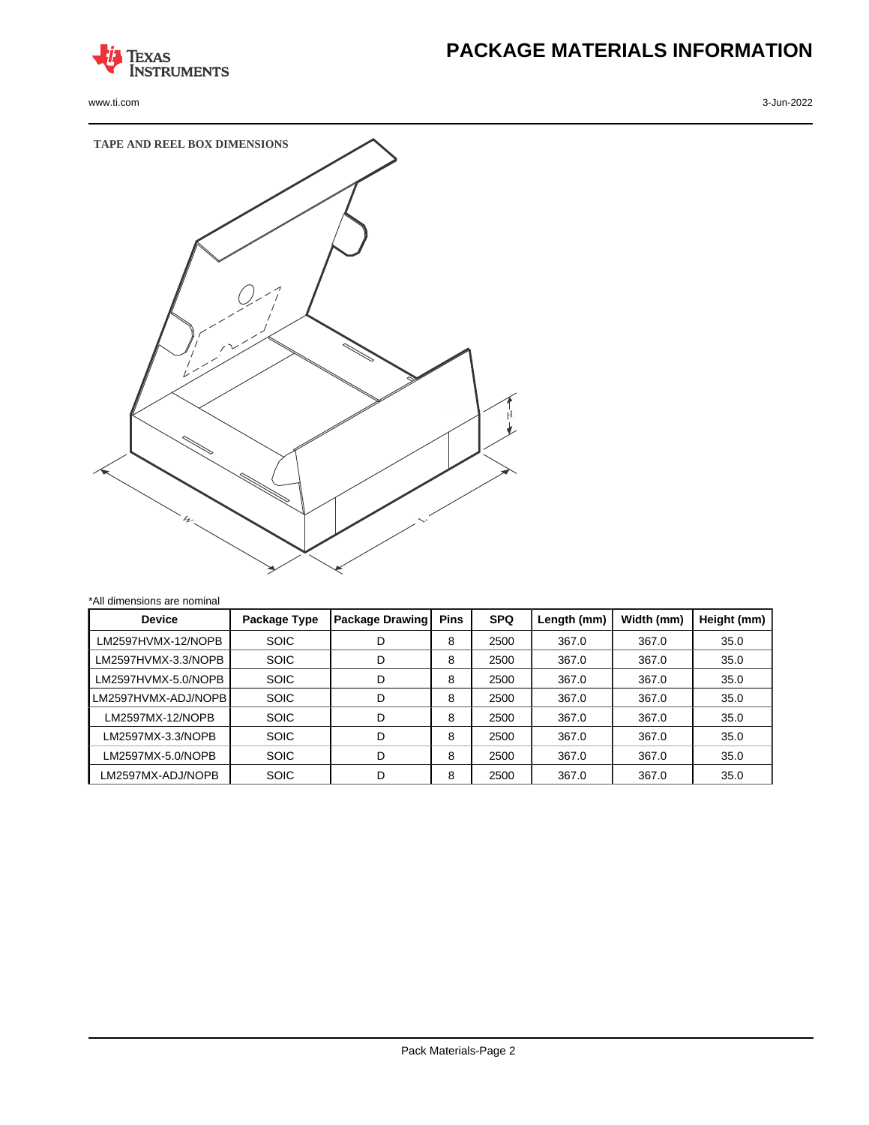

www.ti.com 3-Jun-2022

# **PACKAGE MATERIALS INFORMATION**



| <b>Device</b>       | Package Type | Package Drawing | <b>Pins</b> | <b>SPQ</b> | Length (mm) | Width (mm) | Height (mm) |
|---------------------|--------------|-----------------|-------------|------------|-------------|------------|-------------|
| LM2597HVMX-12/NOPB  | <b>SOIC</b>  | D               | 8           | 2500       | 367.0       | 367.0      | 35.0        |
| LM2597HVMX-3.3/NOPB | <b>SOIC</b>  | D               | 8           | 2500       | 367.0       | 367.0      | 35.0        |
| LM2597HVMX-5.0/NOPB | <b>SOIC</b>  | D               | 8           | 2500       | 367.0       | 367.0      | 35.0        |
| LM2597HVMX-ADJ/NOPB | <b>SOIC</b>  | D               | 8           | 2500       | 367.0       | 367.0      | 35.0        |
| LM2597MX-12/NOPB    | <b>SOIC</b>  | D               | 8           | 2500       | 367.0       | 367.0      | 35.0        |
| LM2597MX-3.3/NOPB   | <b>SOIC</b>  | D               | 8           | 2500       | 367.0       | 367.0      | 35.0        |
| LM2597MX-5.0/NOPB   | <b>SOIC</b>  | D               | 8           | 2500       | 367.0       | 367.0      | 35.0        |
| LM2597MX-ADJ/NOPB   | <b>SOIC</b>  | D               | 8           | 2500       | 367.0       | 367.0      | 35.0        |